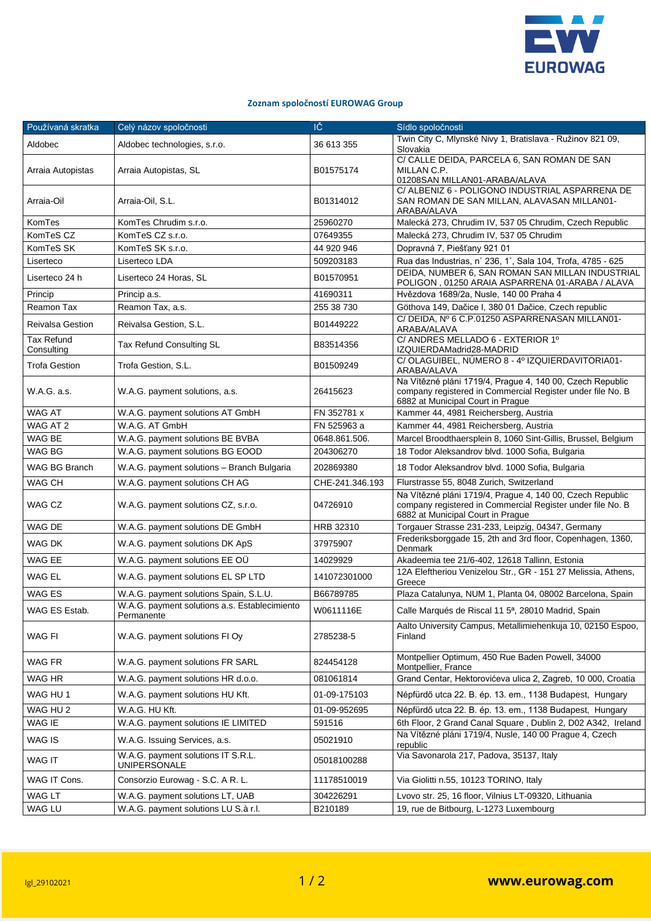

## **Zoznam spoločností EUROWAG Group**

| Používaná skratka               | Celý názov spoločnosti                                      | IČ              | Sídlo spoločnosti                                                                                                                                            |
|---------------------------------|-------------------------------------------------------------|-----------------|--------------------------------------------------------------------------------------------------------------------------------------------------------------|
| Aldobec                         | Aldobec technologies, s.r.o.                                | 36 613 355      | Twin City C, Mlynské Nivy 1, Bratislava - Ružinov 821 09,<br>Slovakia                                                                                        |
| Arraia Autopistas               | Arraia Autopistas, SL                                       | B01575174       | C/ CALLE DEIDA, PARCELA 6, SAN ROMAN DE SAN<br>MILLAN C.P.<br>01208SAN MILLAN01-ARABA/ALAVA                                                                  |
| Arraia-Oil                      | Arraia-Oil, S.L.                                            | B01314012       | C/ ALBENIZ 6 - POLIGONO INDUSTRIAL ASPARRENA DE<br>SAN ROMAN DE SAN MILLAN, ALAVASAN MILLAN01-<br>ARABA/ALAVA                                                |
| KomTes                          | KomTes Chrudim s.r.o.                                       | 25960270        | Malecká 273, Chrudim IV, 537 05 Chrudim, Czech Republic                                                                                                      |
| KomTeS CZ                       | KomTeS CZ s.r.o.                                            | 07649355        | Malecká 273, Chrudim IV, 537 05 Chrudim                                                                                                                      |
| KomTeS SK                       | KomTeS SK s.r.o.                                            | 44 920 946      | Dopravná 7, Piešťany 921 01                                                                                                                                  |
| Liserteco                       | Liserteco LDA                                               | 509203183       | Rua das Industrias, n° 236, 1°, Sala 104, Trofa, 4785 - 625                                                                                                  |
| Liserteco 24 h                  | Liserteco 24 Horas, SL                                      | B01570951       | DEIDA, NUMBER 6, SAN ROMAN SAN MILLAN INDUSTRIAL<br>POLIGON, 01250 ARAIA ASPARRENA 01-ARABA / ALAVA                                                          |
| Princip                         | Princip a.s.                                                | 41690311        | Hvězdova 1689/2a, Nusle, 140 00 Praha 4                                                                                                                      |
| Reamon Tax                      | Reamon Tax, a.s.                                            | 255 38 730      | Göthova 149, Dačice I, 380 01 Dačice, Czech republic                                                                                                         |
| <b>Reivalsa Gestion</b>         | Reivalsa Gestion, S.L.                                      | B01449222       | C/DEIDA, Nº 6 C.P.01250 ASPARRENASAN MILLAN01-<br>ARABA/ALAVA                                                                                                |
| <b>Tax Refund</b><br>Consulting | Tax Refund Consulting SL                                    | B83514356       | C/ ANDRES MELLADO 6 - EXTERIOR 1º<br>IZQUIERDAMadrid28-MADRID                                                                                                |
| <b>Trofa Gestion</b>            | Trofa Gestion, S.L.                                         | B01509249       | C/OLAGUIBEL, NÚMERO 8 - 4º IZQUIERDAVITORIA01-<br>ARABA/ALAVA                                                                                                |
| W.A.G. a.s.                     | W.A.G. payment solutions, a.s.                              | 26415623        | Na Vítězné pláni 1719/4, Prague 4, 140 00, Czech Republic<br>company registered in Commercial Register under file No. B<br>6882 at Municipal Court in Prague |
| <b>WAG AT</b>                   | W.A.G. payment solutions AT GmbH                            | FN 352781 x     | Kammer 44, 4981 Reichersberg, Austria                                                                                                                        |
| WAG AT 2                        | W.A.G. AT GmbH                                              | FN 525963 a     | Kammer 44, 4981 Reichersberg, Austria                                                                                                                        |
| WAG BE                          | W.A.G. payment solutions BE BVBA                            | 0648.861.506.   | Marcel Broodthaersplein 8, 1060 Sint-Gillis, Brussel, Belgium                                                                                                |
| WAG BG                          | W.A.G. payment solutions BG EOOD                            | 204306270       | 18 Todor Aleksandrov blvd. 1000 Sofia, Bulgaria                                                                                                              |
| WAG BG Branch                   | W.A.G. payment solutions - Branch Bulgaria                  | 202869380       | 18 Todor Aleksandrov blvd. 1000 Sofia, Bulgaria                                                                                                              |
| <b>WAG CH</b>                   | W.A.G. payment solutions CH AG                              | CHE-241.346.193 | Flurstrasse 55, 8048 Zurich, Switzerland                                                                                                                     |
| WAG CZ                          | W.A.G. payment solutions CZ, s.r.o.                         | 04726910        | Na Vítězné pláni 1719/4, Prague 4, 140 00, Czech Republic<br>company registered in Commercial Register under file No. B<br>6882 at Municipal Court in Prague |
| WAG DE                          | W.A.G. payment solutions DE GmbH                            | HRB 32310       | Torgauer Strasse 231-233, Leipzig, 04347, Germany                                                                                                            |
| WAG DK                          | W.A.G. payment solutions DK ApS                             | 37975907        | Frederiksborggade 15, 2th and 3rd floor, Copenhagen, 1360,<br>Denmark                                                                                        |
| WAG EE                          | W.A.G. payment solutions EE OU                              | 14029929        | Akadeemia tee 21/6-402, 12618 Tallinn, Estonia                                                                                                               |
| WAG EL                          | W.A.G. payment solutions EL SP LTD                          | 141072301000    | 12A Eleftheriou Venizelou Str., GR - 151 27 Melissia, Athens,<br>Greece                                                                                      |
| WAG ES                          | W.A.G. payment solutions Spain, S.L.U.                      | B66789785       | Plaza Catalunya, NUM 1, Planta 04, 08002 Barcelona, Spain                                                                                                    |
| WAG ES Estab.                   | W.A.G. payment solutions a.s. Establecimiento<br>Permanente | W0611116E       | Calle Marqués de Riscal 11 5ª, 28010 Madrid, Spain                                                                                                           |
| WAG FI                          | W.A.G. payment solutions FI Oy                              | 2785238-5       | Aalto University Campus, Metallimiehenkuja 10, 02150 Espoo,<br>Finland                                                                                       |
| WAG FR                          | W.A.G. payment solutions FR SARL                            | 824454128       | Montpellier Optimum, 450 Rue Baden Powell, 34000<br>Montpellier, France                                                                                      |
| WAG HR                          | W.A.G. payment solutions HR d.o.o.                          | 081061814       | Grand Centar, Hektorovićeva ulica 2, Zagreb, 10 000, Croatia                                                                                                 |
| WAG HU 1                        | W.A.G. payment solutions HU Kft.                            | 01-09-175103    | Népfürdő utca 22. B. ép. 13. em., 1138 Budapest, Hungary                                                                                                     |
| WAG HU <sub>2</sub>             | W.A.G. HU Kft.                                              | 01-09-952695    | Népfürdő utca 22. B. ép. 13. em., 1138 Budapest, Hungary                                                                                                     |
| WAG IE                          | W.A.G. payment solutions IE LIMITED                         | 591516          | 6th Floor, 2 Grand Canal Square, Dublin 2, D02 A342, Ireland                                                                                                 |
| WAG IS                          | W.A.G. Issuing Services, a.s.                               | 05021910        | Na Vítězné pláni 1719/4, Nusle, 140 00 Prague 4, Czech<br>republic                                                                                           |
| WAG IT                          | W.A.G. payment solutions IT S.R.L.<br>UNIPERSONALE          | 05018100288     | Via Savonarola 217, Padova, 35137, Italy                                                                                                                     |
| WAG IT Cons.                    | Consorzio Eurowag - S.C. A R. L.                            | 11178510019     | Via Giolitti n.55, 10123 TORINO, Italy                                                                                                                       |
| WAG LT                          | W.A.G. payment solutions LT, UAB                            | 304226291       | Lvovo str. 25, 16 floor, Vilnius LT-09320, Lithuania                                                                                                         |
| WAG LU                          | W.A.G. payment solutions LU S.à r.l.                        | B210189         | 19, rue de Bitbourg, L-1273 Luxembourg                                                                                                                       |